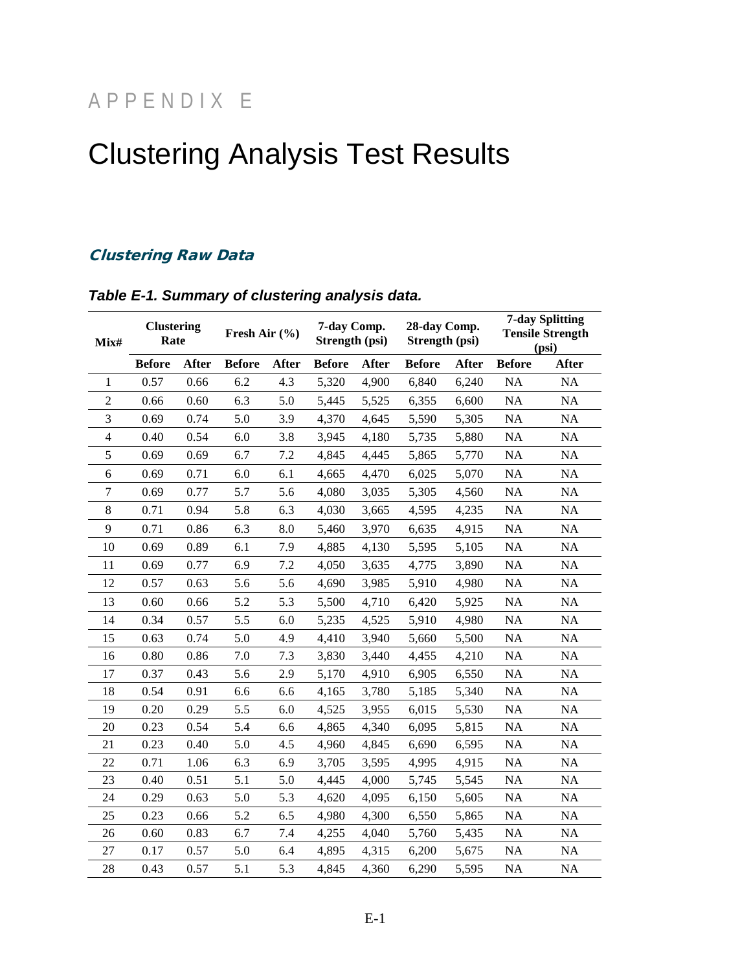## APPENDIX E

# Clustering Analysis Test Results

### Clustering Raw Data

| Mix#           | <b>Clustering</b><br>Rate |       | Fresh Air $(\% )$ |              | 7-day Comp.<br>Strength (psi) |       | 28-day Comp.<br>Strength (psi) |       | <b>7-day Splitting</b><br><b>Tensile Strength</b><br>(psi) |              |
|----------------|---------------------------|-------|-------------------|--------------|-------------------------------|-------|--------------------------------|-------|------------------------------------------------------------|--------------|
|                | <b>Before</b>             | After | <b>Before</b>     | <b>After</b> | <b>Before</b>                 | After | <b>Before</b>                  | After | <b>Before</b>                                              | <b>After</b> |
| 1              | 0.57                      | 0.66  | 6.2               | 4.3          | 5,320                         | 4,900 | 6,840                          | 6,240 | NA                                                         | NA           |
| $\overline{2}$ | 0.66                      | 0.60  | 6.3               | 5.0          | 5,445                         | 5,525 | 6,355                          | 6,600 | NA                                                         | NA           |
| 3              | 0.69                      | 0.74  | 5.0               | 3.9          | 4,370                         | 4,645 | 5,590                          | 5,305 | <b>NA</b>                                                  | NA           |
| $\overline{4}$ | 0.40                      | 0.54  | 6.0               | 3.8          | 3,945                         | 4,180 | 5,735                          | 5,880 | NA                                                         | NA           |
| 5              | 0.69                      | 0.69  | 6.7               | 7.2          | 4,845                         | 4,445 | 5,865                          | 5,770 | NA                                                         | NA           |
| 6              | 0.69                      | 0.71  | 6.0               | 6.1          | 4,665                         | 4,470 | 6,025                          | 5,070 | NA                                                         | NA           |
| $\overline{7}$ | 0.69                      | 0.77  | 5.7               | 5.6          | 4,080                         | 3,035 | 5,305                          | 4,560 | NA                                                         | NA           |
| 8              | 0.71                      | 0.94  | 5.8               | 6.3          | 4,030                         | 3,665 | 4,595                          | 4,235 | NA                                                         | NA           |
| 9              | 0.71                      | 0.86  | 6.3               | 8.0          | 5,460                         | 3,970 | 6,635                          | 4,915 | NA                                                         | NA           |
| 10             | 0.69                      | 0.89  | 6.1               | 7.9          | 4,885                         | 4,130 | 5,595                          | 5,105 | NA                                                         | NA           |
| 11             | 0.69                      | 0.77  | 6.9               | 7.2          | 4,050                         | 3,635 | 4,775                          | 3,890 | NA                                                         | NA           |
| 12             | 0.57                      | 0.63  | 5.6               | 5.6          | 4,690                         | 3,985 | 5,910                          | 4,980 | <b>NA</b>                                                  | NA           |
| 13             | 0.60                      | 0.66  | 5.2               | 5.3          | 5,500                         | 4,710 | 6,420                          | 5,925 | NA                                                         | NA           |
| 14             | 0.34                      | 0.57  | 5.5               | 6.0          | 5,235                         | 4,525 | 5,910                          | 4,980 | NA                                                         | NA           |
| 15             | 0.63                      | 0.74  | 5.0               | 4.9          | 4,410                         | 3,940 | 5,660                          | 5,500 | NA                                                         | $\rm NA$     |
| 16             | 0.80                      | 0.86  | 7.0               | 7.3          | 3,830                         | 3,440 | 4,455                          | 4,210 | NA                                                         | NA           |
| 17             | 0.37                      | 0.43  | 5.6               | 2.9          | 5,170                         | 4,910 | 6,905                          | 6,550 | NA                                                         | NA           |
| 18             | 0.54                      | 0.91  | 6.6               | 6.6          | 4,165                         | 3,780 | 5,185                          | 5,340 | <b>NA</b>                                                  | NA           |
| 19             | 0.20                      | 0.29  | 5.5               | 6.0          | 4,525                         | 3,955 | 6,015                          | 5,530 | NA                                                         | NA           |
| 20             | 0.23                      | 0.54  | 5.4               | 6.6          | 4,865                         | 4,340 | 6,095                          | 5,815 | <b>NA</b>                                                  | NA           |
| 21             | 0.23                      | 0.40  | 5.0               | 4.5          | 4,960                         | 4,845 | 6,690                          | 6,595 | NA                                                         | NA           |
| 22             | 0.71                      | 1.06  | 6.3               | 6.9          | 3,705                         | 3,595 | 4,995                          | 4,915 | NA                                                         | NA           |
| 23             | 0.40                      | 0.51  | 5.1               | 5.0          | 4,445                         | 4,000 | 5,745                          | 5,545 | NA                                                         | NA           |
| 24             | 0.29                      | 0.63  | 5.0               | 5.3          | 4,620                         | 4,095 | 6,150                          | 5,605 | <b>NA</b>                                                  | NA           |
| 25             | 0.23                      | 0.66  | 5.2               | 6.5          | 4,980                         | 4,300 | 6,550                          | 5,865 | NA                                                         | $\rm NA$     |
| 26             | 0.60                      | 0.83  | 6.7               | 7.4          | 4,255                         | 4,040 | 5,760                          | 5,435 | NA                                                         | NA           |
| 27             | 0.17                      | 0.57  | 5.0               | 6.4          | 4,895                         | 4,315 | 6,200                          | 5,675 | NA                                                         | NA           |
| 28             | 0.43                      | 0.57  | 5.1               | 5.3          | 4,845                         | 4,360 | 6,290                          | 5,595 | <b>NA</b>                                                  | NA           |

#### *Table E-1. Summary of clustering analysis data.*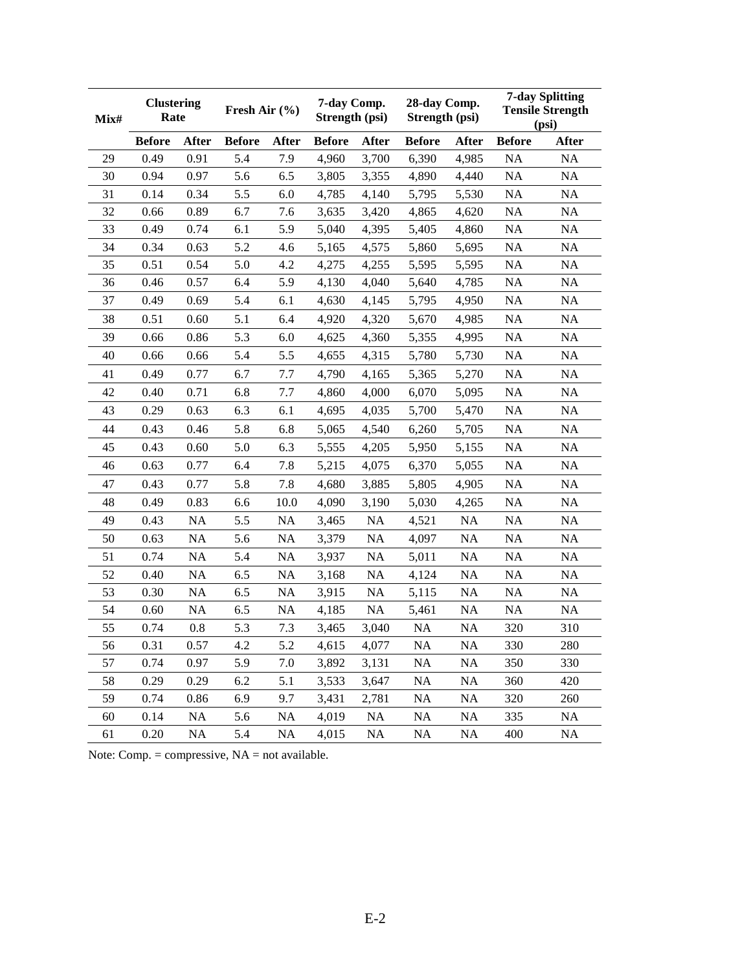| Mix# | <b>Clustering</b><br>Rate |              | Fresh Air $(\% )$ |           | 7-day Comp.<br>Strength (psi) |           | 28-day Comp.<br>Strength (psi) |           | <b>7-day Splitting</b><br><b>Tensile Strength</b><br>(psi) |              |
|------|---------------------------|--------------|-------------------|-----------|-------------------------------|-----------|--------------------------------|-----------|------------------------------------------------------------|--------------|
|      | <b>Before</b>             | <b>After</b> | <b>Before</b>     | After     | <b>Before</b>                 | After     | <b>Before</b>                  | After     | <b>Before</b>                                              | <b>After</b> |
| 29   | 0.49                      | 0.91         | 5.4               | 7.9       | 4,960                         | 3,700     | 6,390                          | 4,985     | NA                                                         | NA           |
| 30   | 0.94                      | 0.97         | 5.6               | 6.5       | 3,805                         | 3,355     | 4,890                          | 4,440     | <b>NA</b>                                                  | <b>NA</b>    |
| 31   | 0.14                      | 0.34         | 5.5               | 6.0       | 4,785                         | 4,140     | 5,795                          | 5,530     | NA                                                         | NA           |
| 32   | 0.66                      | 0.89         | 6.7               | 7.6       | 3,635                         | 3,420     | 4,865                          | 4,620     | <b>NA</b>                                                  | NA           |
| 33   | 0.49                      | 0.74         | 6.1               | 5.9       | 5,040                         | 4,395     | 5,405                          | 4,860     | NA                                                         | NA           |
| 34   | 0.34                      | 0.63         | 5.2               | 4.6       | 5,165                         | 4,575     | 5,860                          | 5,695     | NA                                                         | NA           |
| 35   | 0.51                      | 0.54         | 5.0               | 4.2       | 4,275                         | 4,255     | 5,595                          | 5,595     | <b>NA</b>                                                  | NA           |
| 36   | 0.46                      | 0.57         | 6.4               | 5.9       | 4,130                         | 4,040     | 5,640                          | 4,785     | NA                                                         | NA           |
| 37   | 0.49                      | 0.69         | 5.4               | 6.1       | 4,630                         | 4,145     | 5,795                          | 4,950     | <b>NA</b>                                                  | NA           |
| 38   | 0.51                      | 0.60         | 5.1               | 6.4       | 4,920                         | 4,320     | 5,670                          | 4,985     | <b>NA</b>                                                  | NA           |
| 39   | 0.66                      | 0.86         | 5.3               | 6.0       | 4,625                         | 4,360     | 5,355                          | 4,995     | <b>NA</b>                                                  | NA           |
| 40   | 0.66                      | 0.66         | 5.4               | 5.5       | 4,655                         | 4,315     | 5,780                          | 5,730     | NA                                                         | NA           |
| 41   | 0.49                      | 0.77         | 6.7               | 7.7       | 4,790                         | 4,165     | 5,365                          | 5,270     | <b>NA</b>                                                  | NA           |
| 42   | 0.40                      | 0.71         | 6.8               | 7.7       | 4,860                         | 4,000     | 6,070                          | 5,095     | <b>NA</b>                                                  | NA           |
| 43   | 0.29                      | 0.63         | 6.3               | 6.1       | 4,695                         | 4,035     | 5,700                          | 5,470     | <b>NA</b>                                                  | NA           |
| 44   | 0.43                      | 0.46         | 5.8               | 6.8       | 5,065                         | 4,540     | 6,260                          | 5,705     | NA                                                         | NA           |
| 45   | 0.43                      | 0.60         | 5.0               | 6.3       | 5,555                         | 4,205     | 5,950                          | 5,155     | <b>NA</b>                                                  | NA           |
| 46   | 0.63                      | 0.77         | 6.4               | 7.8       | 5,215                         | 4,075     | 6,370                          | 5,055     | <b>NA</b>                                                  | NA           |
| 47   | 0.43                      | 0.77         | 5.8               | 7.8       | 4,680                         | 3,885     | 5,805                          | 4,905     | <b>NA</b>                                                  | NA           |
| 48   | 0.49                      | 0.83         | 6.6               | 10.0      | 4,090                         | 3,190     | 5,030                          | 4,265     | NA                                                         | NA           |
| 49   | 0.43                      | NA           | 5.5               | <b>NA</b> | 3,465                         | <b>NA</b> | 4,521                          | <b>NA</b> | <b>NA</b>                                                  | NA           |
| 50   | 0.63                      | NA           | 5.6               | <b>NA</b> | 3,379                         | <b>NA</b> | 4,097                          | <b>NA</b> | <b>NA</b>                                                  | NA           |
| 51   | 0.74                      | NA           | 5.4               | NA        | 3,937                         | NA        | 5,011                          | <b>NA</b> | <b>NA</b>                                                  | NA           |
| 52   | 0.40                      | NA           | 6.5               | <b>NA</b> | 3,168                         | <b>NA</b> | 4,124                          | NA        | <b>NA</b>                                                  | NA           |
| 53   | 0.30                      | NA           | 6.5               | NA        | 3,915                         | NA        | 5,115                          | <b>NA</b> | NA                                                         | NA           |
| 54   | 0.60                      | NA           | 6.5               | NA        | 4,185                         | <b>NA</b> | 5,461                          | <b>NA</b> | <b>NA</b>                                                  | <b>NA</b>    |
| 55   | 0.74                      | 0.8          | 5.3               | 7.3       | 3,465                         | 3,040     | NA                             | <b>NA</b> | 320                                                        | 310          |
| 56   | 0.31                      | 0.57         | 4.2               | 5.2       | 4,615                         | 4,077     | <b>NA</b>                      | NA        | 330                                                        | 280          |
| 57   | 0.74                      | 0.97         | 5.9               | 7.0       | 3,892                         | 3,131     | <b>NA</b>                      | NA        | 350                                                        | 330          |
| 58   | 0.29                      | 0.29         | 6.2               | 5.1       | 3,533                         | 3,647     | NA                             | <b>NA</b> | 360                                                        | 420          |
| 59   | 0.74                      | 0.86         | 6.9               | 9.7       | 3,431                         | 2,781     | NA                             | <b>NA</b> | 320                                                        | 260          |
| 60   | 0.14                      | NA           | 5.6               | NA        | 4,019                         | <b>NA</b> | NA                             | <b>NA</b> | 335                                                        | <b>NA</b>    |
| 61   | 0.20                      | NA           | 5.4               | NA        | 4,015                         | <b>NA</b> | NA                             | <b>NA</b> | 400                                                        | NA           |

Note: Comp. = compressive, NA = not available.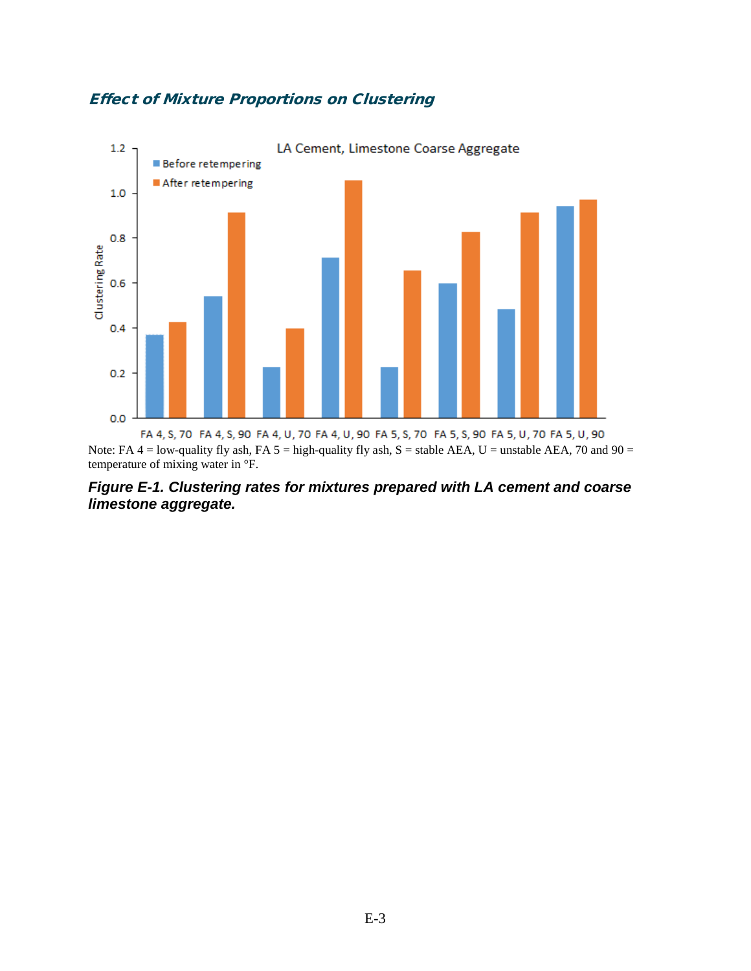#### Effect of Mixture Proportions on Clustering



Note: FA  $4 =$  low-quality fly ash, FA  $5 =$  high-quality fly ash, S = stable AEA, U = unstable AEA, 70 and 90 = temperature of mixing water in °F.

*Figure E-1. Clustering rates for mixtures prepared with LA cement and coarse limestone aggregate.*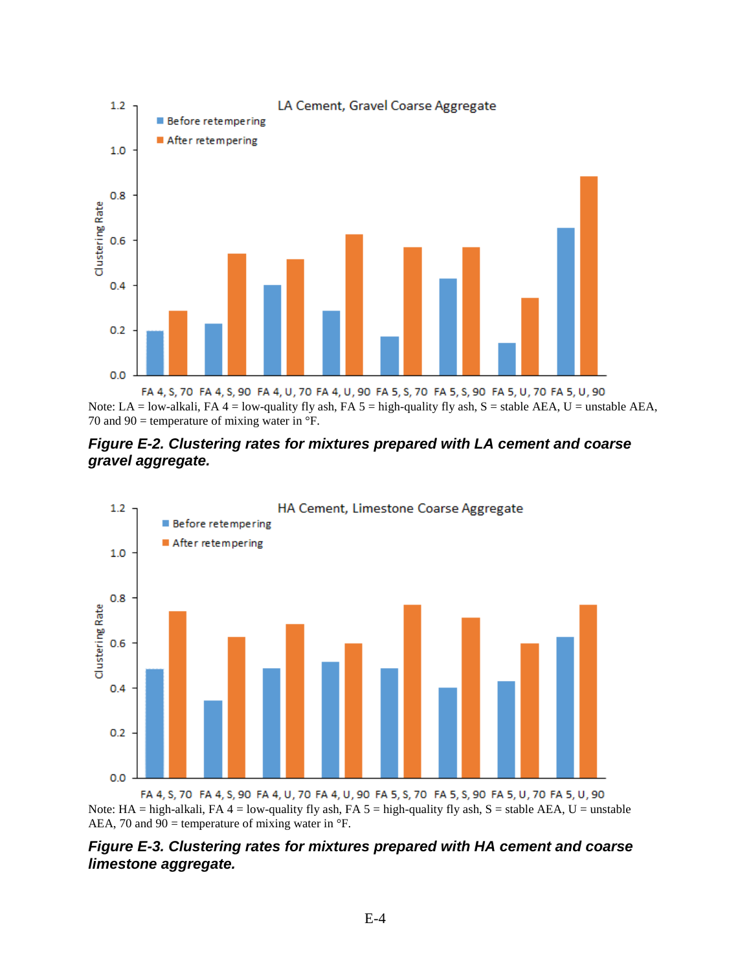

Note: LA = low-alkali, FA 4 = low-quality fly ash, FA 5 = high-quality fly ash, S = stable AEA, U = unstable AEA, 70 and 90 = temperature of mixing water in  $\mathrm{P}$ .





FA 4, S, 70 FA 4, S, 90 FA 4, U, 70 FA 4, U, 90 FA 5, S, 70 FA 5, S, 90 FA 5, U, 70 FA 5, U, 90 Note: HA = high-alkali, FA 4 = low-quality fly ash, FA  $5 =$  high-quality fly ash, S = stable AEA, U = unstable AEA, 70 and 90 = temperature of mixing water in  $\mathrm{P}$ .

*Figure E-3. Clustering rates for mixtures prepared with HA cement and coarse limestone aggregate.*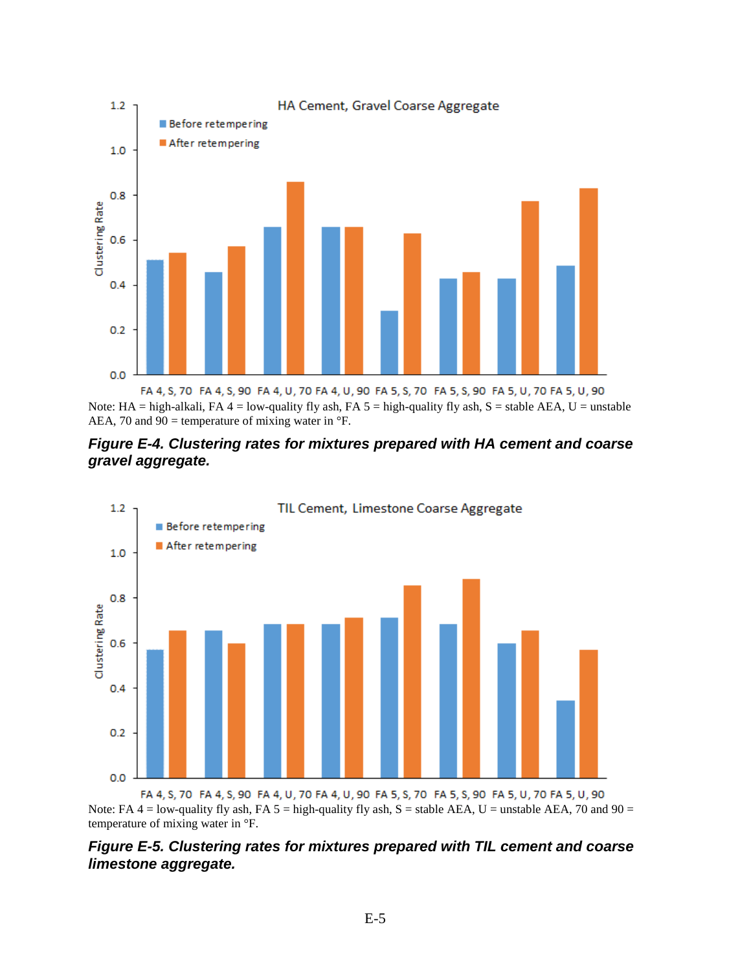

Note: HA = high-alkali, FA 4 = low-quality fly ash, FA 5 = high-quality fly ash, S = stable AEA, U = unstable AEA, 70 and 90 = temperature of mixing water in  $\mathrm{P}$ .





FA 4, S, 70 FA 4, S, 90 FA 4, U, 70 FA 4, U, 90 FA 5, S, 70 FA 5, S, 90 FA 5, U, 70 FA 5, U, 90 Note: FA  $4 =$  low-quality fly ash, FA  $5 =$  high-quality fly ash, S = stable AEA, U = unstable AEA, 70 and 90 = temperature of mixing water in °F.

#### *Figure E-5. Clustering rates for mixtures prepared with TIL cement and coarse limestone aggregate.*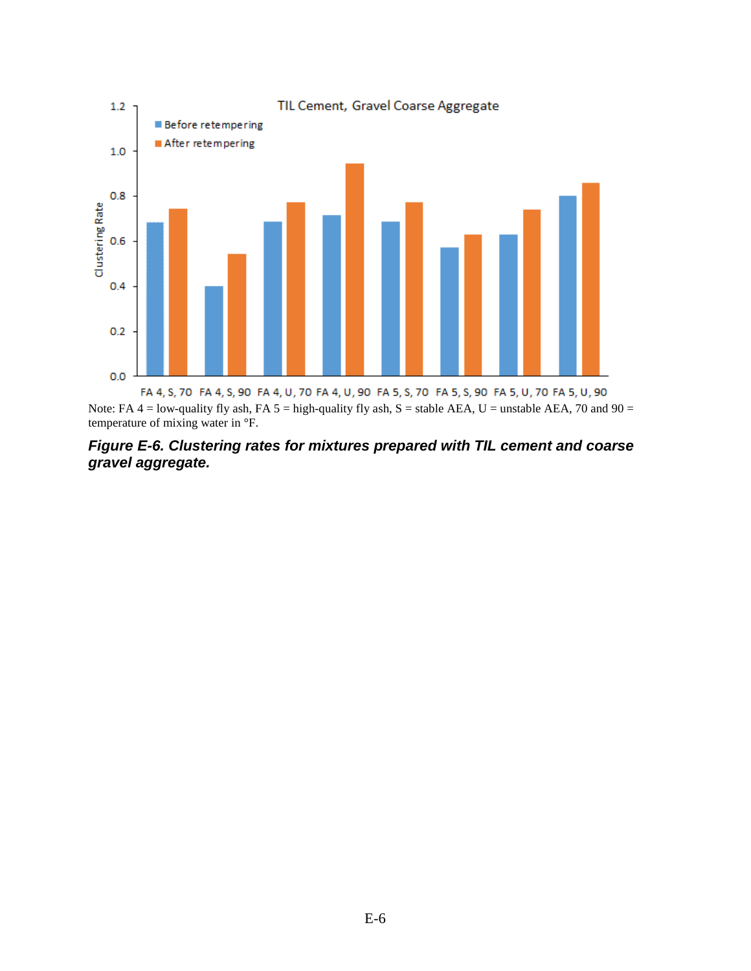

Note: FA  $4 =$  low-quality fly ash, FA  $5 =$  high-quality fly ash, S = stable AEA, U = unstable AEA, 70 and 90 = temperature of mixing water in °F.

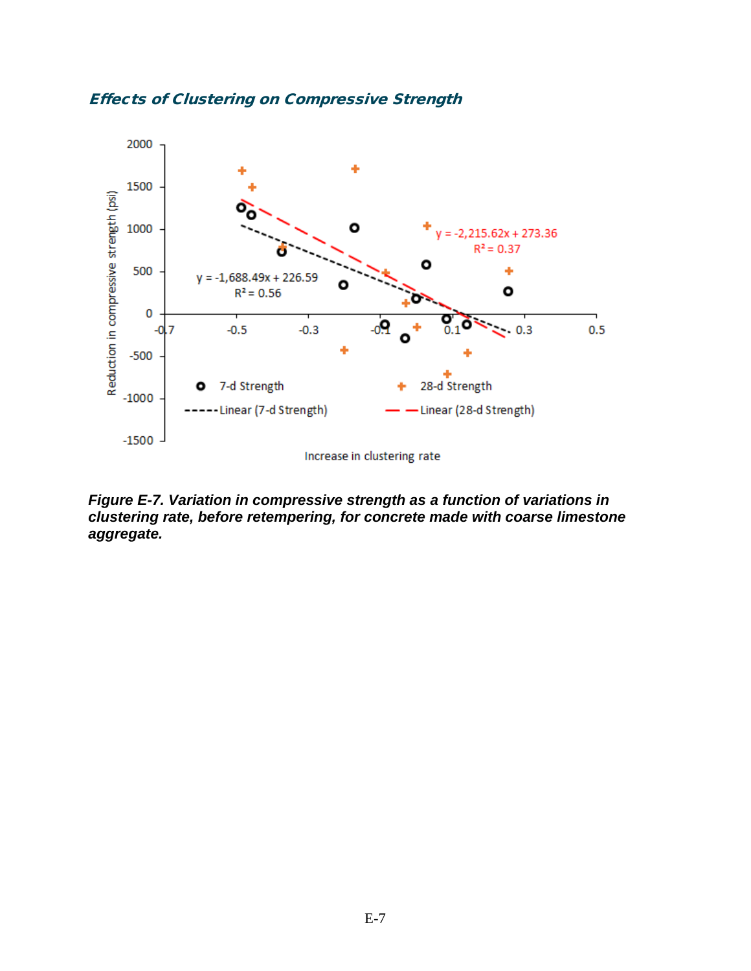



*Figure E-7. Variation in compressive strength as a function of variations in clustering rate, before retempering, for concrete made with coarse limestone aggregate.*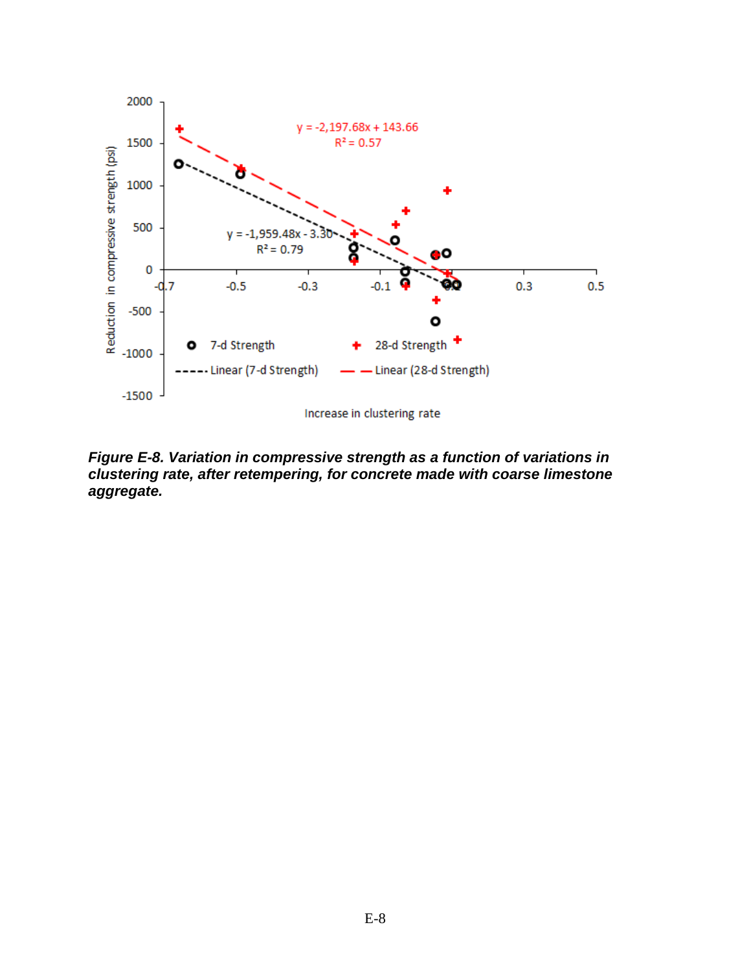

*Figure E-8. Variation in compressive strength as a function of variations in clustering rate, after retempering, for concrete made with coarse limestone aggregate.*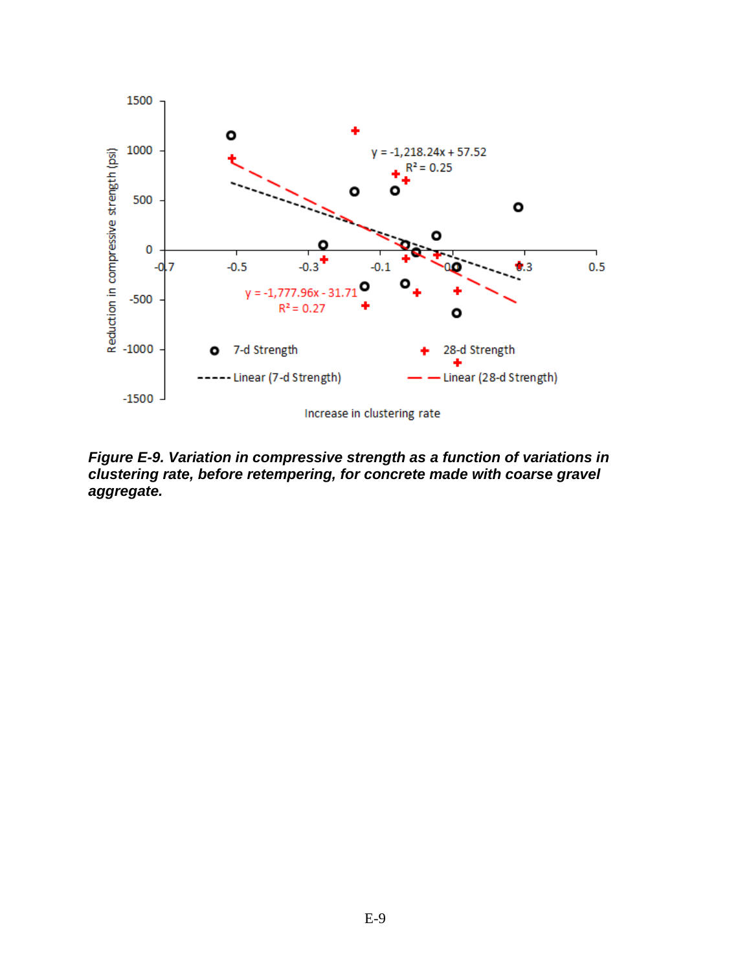

*Figure E-9. Variation in compressive strength as a function of variations in clustering rate, before retempering, for concrete made with coarse gravel aggregate.*